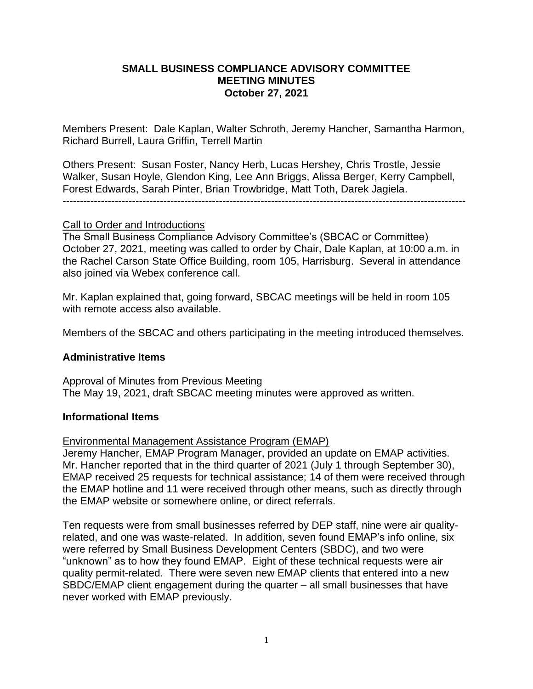## **SMALL BUSINESS COMPLIANCE ADVISORY COMMITTEE MEETING MINUTES October 27, 2021**

Members Present: Dale Kaplan, Walter Schroth, Jeremy Hancher, Samantha Harmon, Richard Burrell, Laura Griffin, Terrell Martin

Others Present: Susan Foster, Nancy Herb, Lucas Hershey, Chris Trostle, Jessie Walker, Susan Hoyle, Glendon King, Lee Ann Briggs, Alissa Berger, Kerry Campbell, Forest Edwards, Sarah Pinter, Brian Trowbridge, Matt Toth, Darek Jagiela.

--------------------------------------------------------------------------------------------------------------------

### Call to Order and Introductions

The Small Business Compliance Advisory Committee's (SBCAC or Committee) October 27, 2021, meeting was called to order by Chair, Dale Kaplan, at 10:00 a.m. in the Rachel Carson State Office Building, room 105, Harrisburg. Several in attendance also joined via Webex conference call.

Mr. Kaplan explained that, going forward, SBCAC meetings will be held in room 105 with remote access also available.

Members of the SBCAC and others participating in the meeting introduced themselves.

## **Administrative Items**

Approval of Minutes from Previous Meeting The May 19, 2021, draft SBCAC meeting minutes were approved as written.

## **Informational Items**

Environmental Management Assistance Program (EMAP)

Jeremy Hancher, EMAP Program Manager, provided an update on EMAP activities. Mr. Hancher reported that in the third quarter of 2021 (July 1 through September 30), EMAP received 25 requests for technical assistance; 14 of them were received through the EMAP hotline and 11 were received through other means, such as directly through the EMAP website or somewhere online, or direct referrals.

Ten requests were from small businesses referred by DEP staff, nine were air qualityrelated, and one was waste-related. In addition, seven found EMAP's info online, six were referred by Small Business Development Centers (SBDC), and two were "unknown" as to how they found EMAP. Eight of these technical requests were air quality permit-related. There were seven new EMAP clients that entered into a new SBDC/EMAP client engagement during the quarter – all small businesses that have never worked with EMAP previously.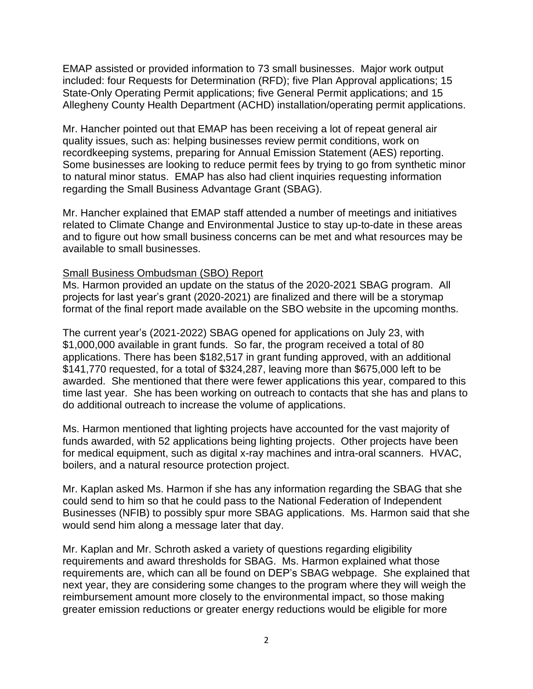EMAP assisted or provided information to 73 small businesses. Major work output included: four Requests for Determination (RFD); five Plan Approval applications; 15 State-Only Operating Permit applications; five General Permit applications; and 15 Allegheny County Health Department (ACHD) installation/operating permit applications.

Mr. Hancher pointed out that EMAP has been receiving a lot of repeat general air quality issues, such as: helping businesses review permit conditions, work on recordkeeping systems, preparing for Annual Emission Statement (AES) reporting. Some businesses are looking to reduce permit fees by trying to go from synthetic minor to natural minor status. EMAP has also had client inquiries requesting information regarding the Small Business Advantage Grant (SBAG).

Mr. Hancher explained that EMAP staff attended a number of meetings and initiatives related to Climate Change and Environmental Justice to stay up-to-date in these areas and to figure out how small business concerns can be met and what resources may be available to small businesses.

### Small Business Ombudsman (SBO) Report

Ms. Harmon provided an update on the status of the 2020-2021 SBAG program. All projects for last year's grant (2020-2021) are finalized and there will be a storymap format of the final report made available on the SBO website in the upcoming months.

The current year's (2021-2022) SBAG opened for applications on July 23, with \$1,000,000 available in grant funds. So far, the program received a total of 80 applications. There has been \$182,517 in grant funding approved, with an additional \$141,770 requested, for a total of \$324,287, leaving more than \$675,000 left to be awarded. She mentioned that there were fewer applications this year, compared to this time last year. She has been working on outreach to contacts that she has and plans to do additional outreach to increase the volume of applications.

Ms. Harmon mentioned that lighting projects have accounted for the vast majority of funds awarded, with 52 applications being lighting projects. Other projects have been for medical equipment, such as digital x-ray machines and intra-oral scanners. HVAC, boilers, and a natural resource protection project.

Mr. Kaplan asked Ms. Harmon if she has any information regarding the SBAG that she could send to him so that he could pass to the National Federation of Independent Businesses (NFIB) to possibly spur more SBAG applications. Ms. Harmon said that she would send him along a message later that day.

Mr. Kaplan and Mr. Schroth asked a variety of questions regarding eligibility requirements and award thresholds for SBAG. Ms. Harmon explained what those requirements are, which can all be found on DEP's SBAG webpage. She explained that next year, they are considering some changes to the program where they will weigh the reimbursement amount more closely to the environmental impact, so those making greater emission reductions or greater energy reductions would be eligible for more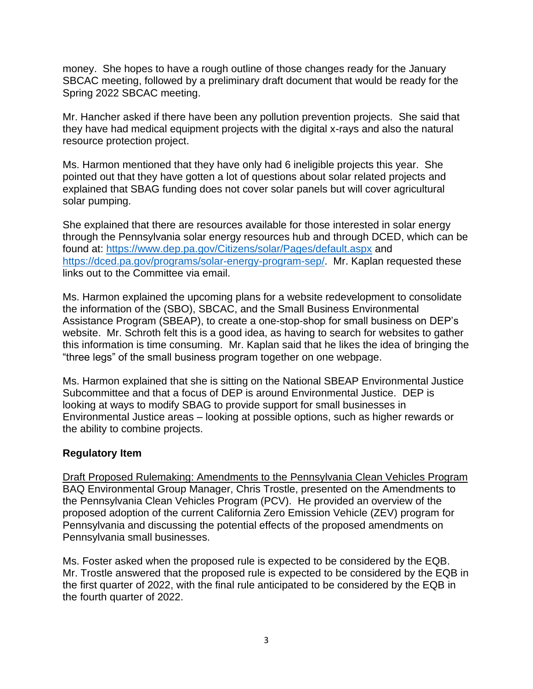money. She hopes to have a rough outline of those changes ready for the January SBCAC meeting, followed by a preliminary draft document that would be ready for the Spring 2022 SBCAC meeting.

Mr. Hancher asked if there have been any pollution prevention projects. She said that they have had medical equipment projects with the digital x-rays and also the natural resource protection project.

Ms. Harmon mentioned that they have only had 6 ineligible projects this year. She pointed out that they have gotten a lot of questions about solar related projects and explained that SBAG funding does not cover solar panels but will cover agricultural solar pumping.

She explained that there are resources available for those interested in solar energy through the Pennsylvania solar energy resources hub and through DCED, which can be found at:<https://www.dep.pa.gov/Citizens/solar/Pages/default.aspx> and [https://dced.pa.gov/programs/solar-energy-program-sep/.](https://dced.pa.gov/programs/solar-energy-program-sep/) Mr. Kaplan requested these links out to the Committee via email.

Ms. Harmon explained the upcoming plans for a website redevelopment to consolidate the information of the (SBO), SBCAC, and the Small Business Environmental Assistance Program (SBEAP), to create a one-stop-shop for small business on DEP's website. Mr. Schroth felt this is a good idea, as having to search for websites to gather this information is time consuming. Mr. Kaplan said that he likes the idea of bringing the "three legs" of the small business program together on one webpage.

Ms. Harmon explained that she is sitting on the National SBEAP Environmental Justice Subcommittee and that a focus of DEP is around Environmental Justice. DEP is looking at ways to modify SBAG to provide support for small businesses in Environmental Justice areas – looking at possible options, such as higher rewards or the ability to combine projects.

## **Regulatory Item**

Draft Proposed Rulemaking: Amendments to the Pennsylvania Clean Vehicles Program BAQ Environmental Group Manager, Chris Trostle, presented on the Amendments to the Pennsylvania Clean Vehicles Program (PCV). He provided an overview of the proposed adoption of the current California Zero Emission Vehicle (ZEV) program for Pennsylvania and discussing the potential effects of the proposed amendments on Pennsylvania small businesses.

Ms. Foster asked when the proposed rule is expected to be considered by the EQB. Mr. Trostle answered that the proposed rule is expected to be considered by the EQB in the first quarter of 2022, with the final rule anticipated to be considered by the EQB in the fourth quarter of 2022.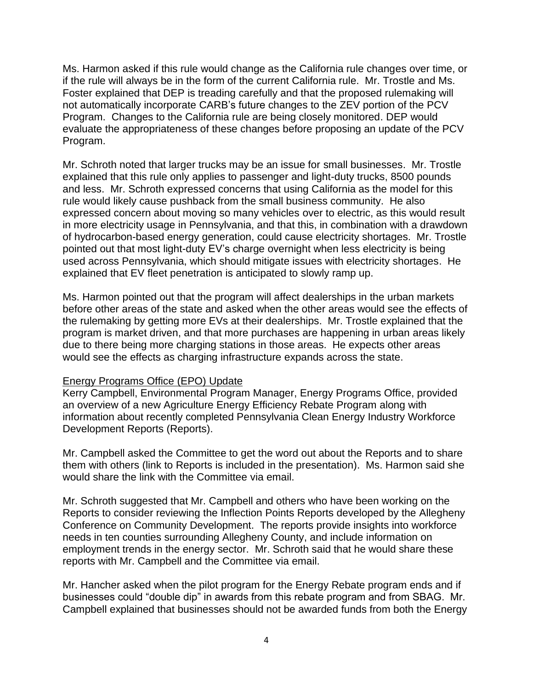Ms. Harmon asked if this rule would change as the California rule changes over time, or if the rule will always be in the form of the current California rule. Mr. Trostle and Ms. Foster explained that DEP is treading carefully and that the proposed rulemaking will not automatically incorporate CARB's future changes to the ZEV portion of the PCV Program. Changes to the California rule are being closely monitored. DEP would evaluate the appropriateness of these changes before proposing an update of the PCV Program.

Mr. Schroth noted that larger trucks may be an issue for small businesses. Mr. Trostle explained that this rule only applies to passenger and light-duty trucks, 8500 pounds and less. Mr. Schroth expressed concerns that using California as the model for this rule would likely cause pushback from the small business community. He also expressed concern about moving so many vehicles over to electric, as this would result in more electricity usage in Pennsylvania, and that this, in combination with a drawdown of hydrocarbon-based energy generation, could cause electricity shortages. Mr. Trostle pointed out that most light-duty EV's charge overnight when less electricity is being used across Pennsylvania, which should mitigate issues with electricity shortages. He explained that EV fleet penetration is anticipated to slowly ramp up.

Ms. Harmon pointed out that the program will affect dealerships in the urban markets before other areas of the state and asked when the other areas would see the effects of the rulemaking by getting more EVs at their dealerships. Mr. Trostle explained that the program is market driven, and that more purchases are happening in urban areas likely due to there being more charging stations in those areas. He expects other areas would see the effects as charging infrastructure expands across the state.

#### Energy Programs Office (EPO) Update

Kerry Campbell, Environmental Program Manager, Energy Programs Office, provided an overview of a new Agriculture Energy Efficiency Rebate Program along with information about recently completed Pennsylvania Clean Energy Industry Workforce Development Reports (Reports).

Mr. Campbell asked the Committee to get the word out about the Reports and to share them with others (link to Reports is included in the presentation). Ms. Harmon said she would share the link with the Committee via email.

Mr. Schroth suggested that Mr. Campbell and others who have been working on the Reports to consider reviewing the Inflection Points Reports developed by the Allegheny Conference on Community Development. The reports provide insights into workforce needs in ten counties surrounding Allegheny County, and include information on employment trends in the energy sector. Mr. Schroth said that he would share these reports with Mr. Campbell and the Committee via email.

Mr. Hancher asked when the pilot program for the Energy Rebate program ends and if businesses could "double dip" in awards from this rebate program and from SBAG. Mr. Campbell explained that businesses should not be awarded funds from both the Energy